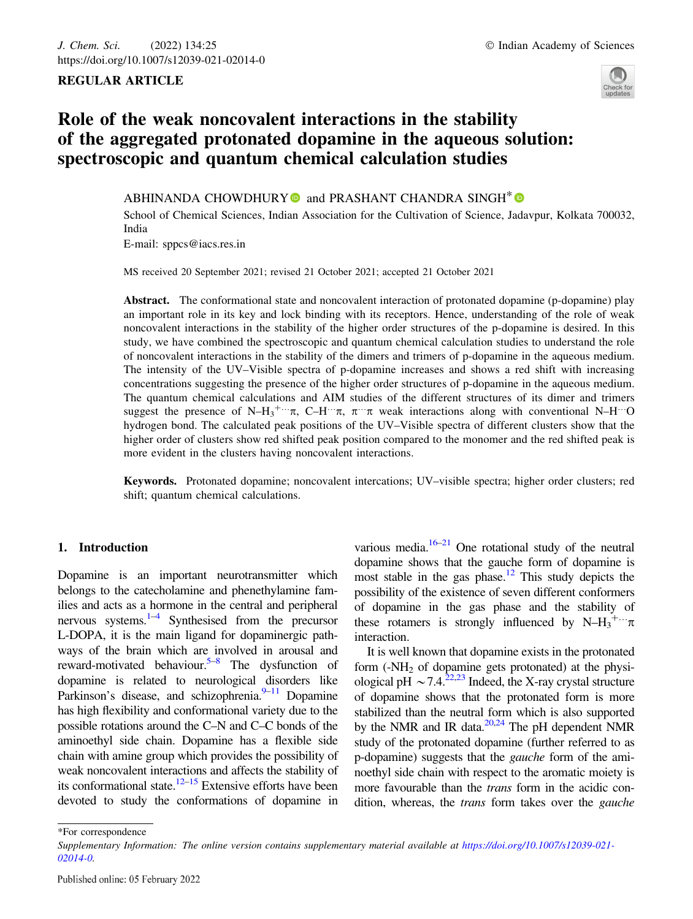## REGULAR ARTICLE



# Role of the weak noncovalent interactions in the stability of the aggregated protonated dopamine in the aqueous solution: spectroscopic and quantum chemical calculation studies

ABHINANDA CHOWDHURY  $\bullet$  and PRASHANT CHANDRA SINGH<sup>\*</sup>  $\bullet$ 

School of Chemical Sciences, Indian Association for the Cultivation of Science, Jadavpur, Kolkata 700032, India E-mail: sppcs@iacs.res.in

MS received 20 September 2021; revised 21 October 2021; accepted 21 October 2021

Abstract. The conformational state and noncovalent interaction of protonated dopamine (p-dopamine) play an important role in its key and lock binding with its receptors. Hence, understanding of the role of weak noncovalent interactions in the stability of the higher order structures of the p-dopamine is desired. In this study, we have combined the spectroscopic and quantum chemical calculation studies to understand the role of noncovalent interactions in the stability of the dimers and trimers of p-dopamine in the aqueous medium. The intensity of the UV–Visible spectra of p-dopamine increases and shows a red shift with increasing concentrations suggesting the presence of the higher order structures of p-dopamine in the aqueous medium. The quantum chemical calculations and AIM studies of the different structures of its dimer and trimers suggest the presence of N–H<sub>3</sub><sup>+...</sup> $\pi$ , C–H<sup>…</sup> $\pi$ ,  $\pi$ <sup>…</sup> $\pi$  weak interactions along with conventional N–H<sup>…</sup>O hydrogen bond. The calculated peak positions of the UV–Visible spectra of different clusters show that the higher order of clusters show red shifted peak position compared to the monomer and the red shifted peak is more evident in the clusters having noncovalent interactions.

Keywords. Protonated dopamine; noncovalent intercations; UV–visible spectra; higher order clusters; red shift; quantum chemical calculations.

## 1. Introduction

Dopamine is an important neurotransmitter which belongs to the catecholamine and phenethylamine families and acts as a hormone in the central and peripheral nervous systems. $1-4$  Synthesised from the precursor L-DOPA, it is the main ligand for dopaminergic pathways of the brain which are involved in arousal and reward-motivated behaviour.<sup>5–8</sup> The dysfunction of dopamine is related to neurological disorders like Parkinson's disease, and schizophrenia. $9-11$  Dopamine has high flexibility and conformational variety due to the possible rotations around the C–N and C–C bonds of the aminoethyl side chain. Dopamine has a flexible side chain with amine group which provides the possibility of weak noncovalent interactions and affects the stability of its conformational state.<sup>12–15</sup> Extensive efforts have been devoted to study the conformations of dopamine in

various media. $16-21$  One rotational study of the neutral dopamine shows that the gauche form of dopamine is most stable in the gas phase.<sup>12</sup> This study depicts the possibility of the existence of seven different conformers of dopamine in the gas phase and the stability of these rotamers is strongly influenced by  $N-H_3^+ \cdots \pi$ interaction.

It is well known that dopamine exists in the protonated form  $(-NH<sub>2</sub>)$  of dopamine gets protonated) at the physiological pH  $\sim$  7.4.<sup>22,23</sup> Indeed, the X-ray crystal structure of dopamine shows that the protonated form is more stabilized than the neutral form which is also supported by the NMR and IR data. $20,24$  The pH dependent NMR study of the protonated dopamine (further referred to as p-dopamine) suggests that the gauche form of the aminoethyl side chain with respect to the aromatic moiety is more favourable than the *trans* form in the acidic condition, whereas, the *trans* form takes over the *gauche* 

<sup>\*</sup>For correspondence

Supplementary Information: The online version contains supplementary material available at https://doi.org/10.1007/s12039-021- 02014-0.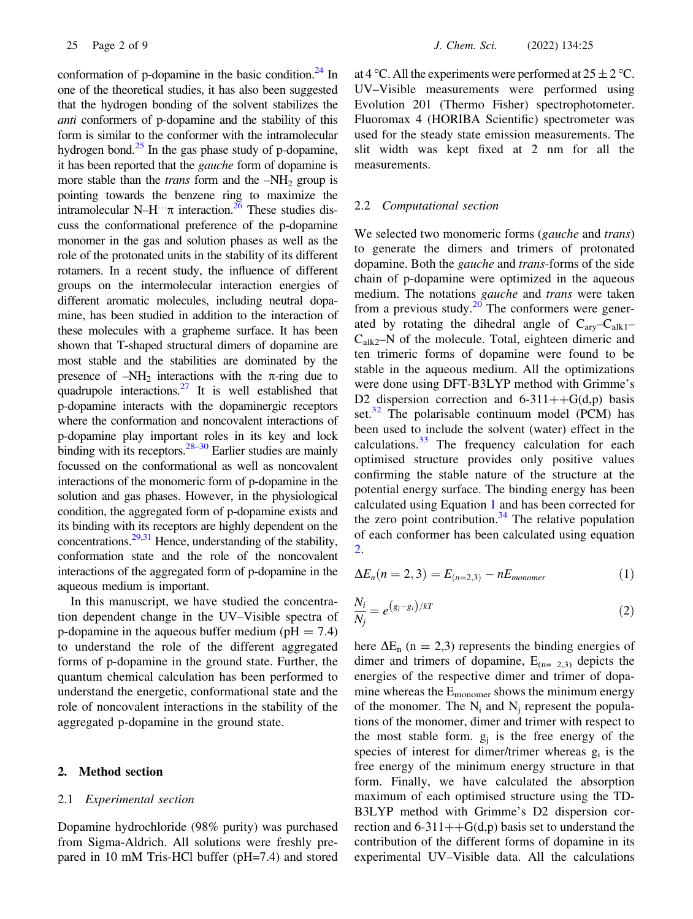conformation of p-dopamine in the basic condition. $24$  In one of the theoretical studies, it has also been suggested that the hydrogen bonding of the solvent stabilizes the anti conformers of p-dopamine and the stability of this form is similar to the conformer with the intramolecular hydrogen bond. $^{25}$  In the gas phase study of p-dopamine, it has been reported that the gauche form of dopamine is more stable than the *trans* form and the  $-NH<sub>2</sub>$  group is pointing towards the benzene ring to maximize the intramolecular N–H… $\pi$  interaction.<sup>26</sup> These studies discuss the conformational preference of the p-dopamine monomer in the gas and solution phases as well as the role of the protonated units in the stability of its different rotamers. In a recent study, the influence of different groups on the intermolecular interaction energies of different aromatic molecules, including neutral dopamine, has been studied in addition to the interaction of these molecules with a grapheme surface. It has been shown that T-shaped structural dimers of dopamine are most stable and the stabilities are dominated by the presence of  $-NH_2$  interactions with the  $\pi$ -ring due to quadrupole interactions. $27$  It is well established that p-dopamine interacts with the dopaminergic receptors where the conformation and noncovalent interactions of p-dopamine play important roles in its key and lock binding with its receptors.  $28-30$  Earlier studies are mainly focussed on the conformational as well as noncovalent interactions of the monomeric form of p-dopamine in the solution and gas phases. However, in the physiological condition, the aggregated form of p-dopamine exists and its binding with its receptors are highly dependent on the concentrations. $29,31$  Hence, understanding of the stability, conformation state and the role of the noncovalent interactions of the aggregated form of p-dopamine in the aqueous medium is important.

In this manuscript, we have studied the concentration dependent change in the UV–Visible spectra of p-dopamine in the aqueous buffer medium ( $pH = 7.4$ ) to understand the role of the different aggregated forms of p-dopamine in the ground state. Further, the quantum chemical calculation has been performed to understand the energetic, conformational state and the role of noncovalent interactions in the stability of the aggregated p-dopamine in the ground state.

## 2. Method section

#### 2.1 Experimental section

Dopamine hydrochloride (98% purity) was purchased from Sigma-Aldrich. All solutions were freshly prepared in 10 mM Tris-HCl buffer (pH=7.4) and stored at 4 °C. All the experiments were performed at  $25 \pm 2$  °C. UV–Visible measurements were performed using Evolution 201 (Thermo Fisher) spectrophotometer. Fluoromax 4 (HORIBA Scientific) spectrometer was used for the steady state emission measurements. The slit width was kept fixed at 2 nm for all the measurements.

#### 2.2 Computational section

We selected two monomeric forms (gauche and trans) to generate the dimers and trimers of protonated dopamine. Both the gauche and trans-forms of the side chain of p-dopamine were optimized in the aqueous medium. The notations *gauche* and *trans* were taken from a previous study. $20^{\circ}$  The conformers were generated by rotating the dihedral angle of  $C_{\text{av}}-C_{\text{alk1}} C_{\text{alk2}}$ –N of the molecule. Total, eighteen dimeric and ten trimeric forms of dopamine were found to be stable in the aqueous medium. All the optimizations were done using DFT-B3LYP method with Grimme's D2 dispersion correction and  $6-311++G(d,p)$  basis set. $32$  The polarisable continuum model (PCM) has been used to include the solvent (water) effect in the calculations. $33$  The frequency calculation for each optimised structure provides only positive values confirming the stable nature of the structure at the potential energy surface. The binding energy has been calculated using Equation 1 and has been corrected for the zero point contribution. $34$  The relative population of each conformer has been calculated using equation 2.

$$
\Delta E_n(n = 2, 3) = E_{(n=2,3)} - nE_{monomer}
$$
 (1)

$$
\frac{N_i}{N_j} = e^{(g_j - g_i)/kT} \tag{2}
$$

here  $\Delta E_n$  (n = 2,3) represents the binding energies of dimer and trimers of dopamine,  $E_{(n=2,3)}$  depicts the energies of the respective dimer and trimer of dopamine whereas the  $E_{\text{monomer}}$  shows the minimum energy of the monomer. The  $N_i$  and  $N_j$  represent the populations of the monomer, dimer and trimer with respect to the most stable form.  $g_i$  is the free energy of the species of interest for dimer/trimer whereas  $g_i$  is the free energy of the minimum energy structure in that form. Finally, we have calculated the absorption maximum of each optimised structure using the TD-B3LYP method with Grimme's D2 dispersion correction and  $6-311++G(d,p)$  basis set to understand the contribution of the different forms of dopamine in its experimental UV–Visible data. All the calculations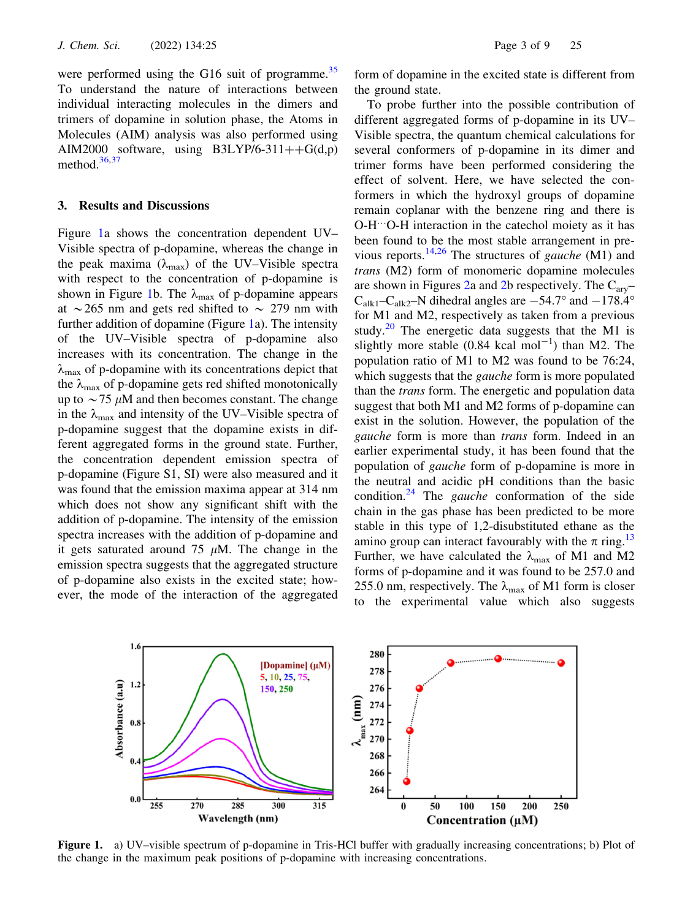were performed using the G16 suit of programme. $35$ To understand the nature of interactions between individual interacting molecules in the dimers and trimers of dopamine in solution phase, the Atoms in Molecules (AIM) analysis was also performed using AIM2000 software, using  $B3LYP/6-311++G(d,p)$ 

#### 3. Results and Discussions

method. $36,37$ 

Figure 1a shows the concentration dependent UV– Visible spectra of p-dopamine, whereas the change in the peak maxima ( $\lambda_{\text{max}}$ ) of the UV–Visible spectra with respect to the concentration of p-dopamine is shown in Figure 1b. The  $\lambda_{\text{max}}$  of p-dopamine appears at  $\sim$  265 nm and gets red shifted to  $\sim$  279 nm with further addition of dopamine (Figure 1a). The intensity of the UV–Visible spectra of p-dopamine also increases with its concentration. The change in the  $\lambda_{\text{max}}$  of p-dopamine with its concentrations depict that the  $\lambda_{\text{max}}$  of p-dopamine gets red shifted monotonically up to  $\sim$  75  $\mu$ M and then becomes constant. The change in the  $\lambda_{\text{max}}$  and intensity of the UV–Visible spectra of p-dopamine suggest that the dopamine exists in different aggregated forms in the ground state. Further, the concentration dependent emission spectra of p-dopamine (Figure S1, SI) were also measured and it was found that the emission maxima appear at 314 nm which does not show any significant shift with the addition of p-dopamine. The intensity of the emission spectra increases with the addition of p-dopamine and it gets saturated around 75  $\mu$ M. The change in the emission spectra suggests that the aggregated structure of p-dopamine also exists in the excited state; however, the mode of the interaction of the aggregated form of dopamine in the excited state is different from the ground state.

To probe further into the possible contribution of different aggregated forms of p-dopamine in its UV– Visible spectra, the quantum chemical calculations for several conformers of p-dopamine in its dimer and trimer forms have been performed considering the effect of solvent. Here, we have selected the conformers in which the hydroxyl groups of dopamine remain coplanar with the benzene ring and there is O-H…O-H interaction in the catechol moiety as it has been found to be the most stable arrangement in previous reports.<sup>14,26</sup> The structures of *gauche* (M1) and trans (M2) form of monomeric dopamine molecules are shown in Figures 2a and 2b respectively. The  $C_{\text{arv}}$ - $C_{\text{alk1}}-C_{\text{alk2}}-N$  dihedral angles are  $-54.7^{\circ}$  and  $-178.4^{\circ}$ for M1 and M2, respectively as taken from a previous study.<sup>20</sup> The energetic data suggests that the M1 is slightly more stable  $(0.84 \text{ kcal mol}^{-1})$  than M2. The population ratio of M1 to M2 was found to be 76:24, which suggests that the *gauche* form is more populated than the trans form. The energetic and population data suggest that both M1 and M2 forms of p-dopamine can exist in the solution. However, the population of the gauche form is more than trans form. Indeed in an earlier experimental study, it has been found that the population of gauche form of p-dopamine is more in the neutral and acidic pH conditions than the basic condition.<sup>24</sup> The *gauche* conformation of the side chain in the gas phase has been predicted to be more stable in this type of 1,2-disubstituted ethane as the amino group can interact favourably with the  $\pi$  ring.<sup>13</sup> Further, we have calculated the  $\lambda_{\text{max}}$  of M1 and M2 forms of p-dopamine and it was found to be 257.0 and 255.0 nm, respectively. The  $\lambda_{\text{max}}$  of M1 form is closer to the experimental value which also suggests



Figure 1. a) UV–visible spectrum of p-dopamine in Tris-HCl buffer with gradually increasing concentrations; b) Plot of the change in the maximum peak positions of p-dopamine with increasing concentrations.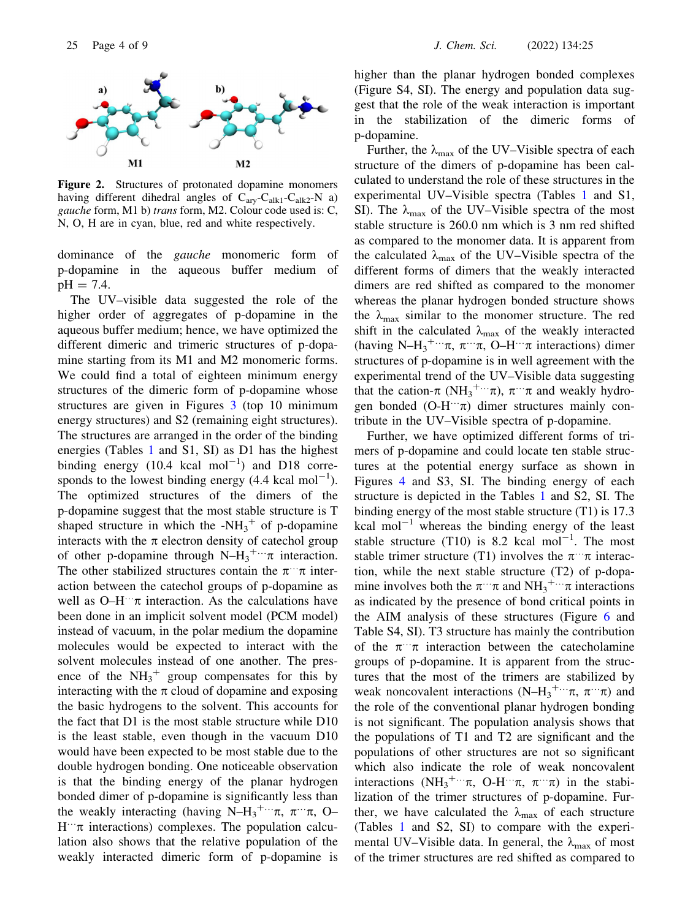

Figure 2. Structures of protonated dopamine monomers having different dihedral angles of  $C_{arv}$ - $C_{alk1}$ - $C_{alk2}$ -N a) gauche form, M1 b) trans form, M2. Colour code used is: C, N, O, H are in cyan, blue, red and white respectively.

dominance of the gauche monomeric form of p-dopamine in the aqueous buffer medium of  $pH = 7.4$ .

The UV–visible data suggested the role of the higher order of aggregates of p-dopamine in the aqueous buffer medium; hence, we have optimized the different dimeric and trimeric structures of p-dopamine starting from its M1 and M2 monomeric forms. We could find a total of eighteen minimum energy structures of the dimeric form of p-dopamine whose structures are given in Figures 3 (top 10 minimum energy structures) and S2 (remaining eight structures). The structures are arranged in the order of the binding energies (Tables 1 and S1, SI) as D1 has the highest binding energy  $(10.4 \text{ kcal mol}^{-1})$  and D18 corresponds to the lowest binding energy  $(4.4 \text{ kcal mol}^{-1})$ . The optimized structures of the dimers of the p-dopamine suggest that the most stable structure is T shaped structure in which the  $-NH_3^+$  of p-dopamine interacts with the  $\pi$  electron density of catechol group of other p-dopamine through  $N-H_3^{\text{+...}}\pi$  interaction. The other stabilized structures contain the  $\pi$ <sup>--</sup> $\pi$  interaction between the catechol groups of p-dopamine as well as  $O-H^{\dots} \pi$  interaction. As the calculations have been done in an implicit solvent model (PCM model) instead of vacuum, in the polar medium the dopamine molecules would be expected to interact with the solvent molecules instead of one another. The presence of the  $NH_3^+$  group compensates for this by interacting with the  $\pi$  cloud of dopamine and exposing the basic hydrogens to the solvent. This accounts for the fact that D1 is the most stable structure while D10 is the least stable, even though in the vacuum D10 would have been expected to be most stable due to the double hydrogen bonding. One noticeable observation is that the binding energy of the planar hydrogen bonded dimer of p-dopamine is significantly less than the weakly interacting (having N–H<sub>3</sub><sup>+...</sup> $\pi$ ,  $\pi$ <sup>...</sup> $\pi$ , O–  $H^{\dots}$  interactions) complexes. The population calculation also shows that the relative population of the weakly interacted dimeric form of p-dopamine is higher than the planar hydrogen bonded complexes (Figure S4, SI). The energy and population data suggest that the role of the weak interaction is important in the stabilization of the dimeric forms of p-dopamine.

Further, the  $\lambda_{\text{max}}$  of the UV–Visible spectra of each structure of the dimers of p-dopamine has been calculated to understand the role of these structures in the experimental UV–Visible spectra (Tables 1 and S1, SI). The  $\lambda_{\text{max}}$  of the UV–Visible spectra of the most stable structure is 260.0 nm which is 3 nm red shifted as compared to the monomer data. It is apparent from the calculated  $\lambda_{\text{max}}$  of the UV–Visible spectra of the different forms of dimers that the weakly interacted dimers are red shifted as compared to the monomer whereas the planar hydrogen bonded structure shows the  $\lambda_{\text{max}}$  similar to the monomer structure. The red shift in the calculated  $\lambda_{\text{max}}$  of the weakly interacted (having N-H<sub>3</sub><sup>+...</sup> $\pi$ ,  $\pi$ <sup>...</sup> $\pi$ , O-H<sup>...</sup> $\pi$  interactions) dimer structures of p-dopamine is in well agreement with the experimental trend of the UV–Visible data suggesting that the cation- $\pi$  (NH<sub>3</sub><sup>+...</sup> $\pi$ ),  $\pi$ <sup>...</sup> $\pi$  and weakly hydrogen bonded  $(O-H^{\cdots}\pi)$  dimer structures mainly contribute in the UV–Visible spectra of p-dopamine.

Further, we have optimized different forms of trimers of p-dopamine and could locate ten stable structures at the potential energy surface as shown in Figures 4 and S3, SI. The binding energy of each structure is depicted in the Tables 1 and S2, SI. The binding energy of the most stable structure (T1) is 17.3 kcal mol<sup> $-1$ </sup> whereas the binding energy of the least stable structure (T10) is 8.2 kcal  $mol^{-1}$ . The most stable trimer structure (T1) involves the  $\pi$ <sup>…</sup> $\pi$  interaction, while the next stable structure (T2) of p-dopamine involves both the  $\pi$ <sup>…</sup> $\pi$  and NH<sub>3</sub><sup>+…</sup> $\pi$  interactions as indicated by the presence of bond critical points in the AIM analysis of these structures (Figure 6 and Table S4, SI). T3 structure has mainly the contribution of the  $\pi$ <sup>"</sup> $\pi$  interaction between the catecholamine groups of p-dopamine. It is apparent from the structures that the most of the trimers are stabilized by weak noncovalent interactions  $(N-H_3^{+\cdots}\pi, \pi^{\cdots}\pi)$  and the role of the conventional planar hydrogen bonding is not significant. The population analysis shows that the populations of T1 and T2 are significant and the populations of other structures are not so significant which also indicate the role of weak noncovalent interactions  $(NH_3^{+\cdots}\pi, O-H^{+\cdots}\pi, \pi^{+\cdots}\pi)$  in the stabilization of the trimer structures of p-dopamine. Further, we have calculated the  $\lambda_{\text{max}}$  of each structure (Tables 1 and S2, SI) to compare with the experimental UV–Visible data. In general, the  $\lambda_{\text{max}}$  of most of the trimer structures are red shifted as compared to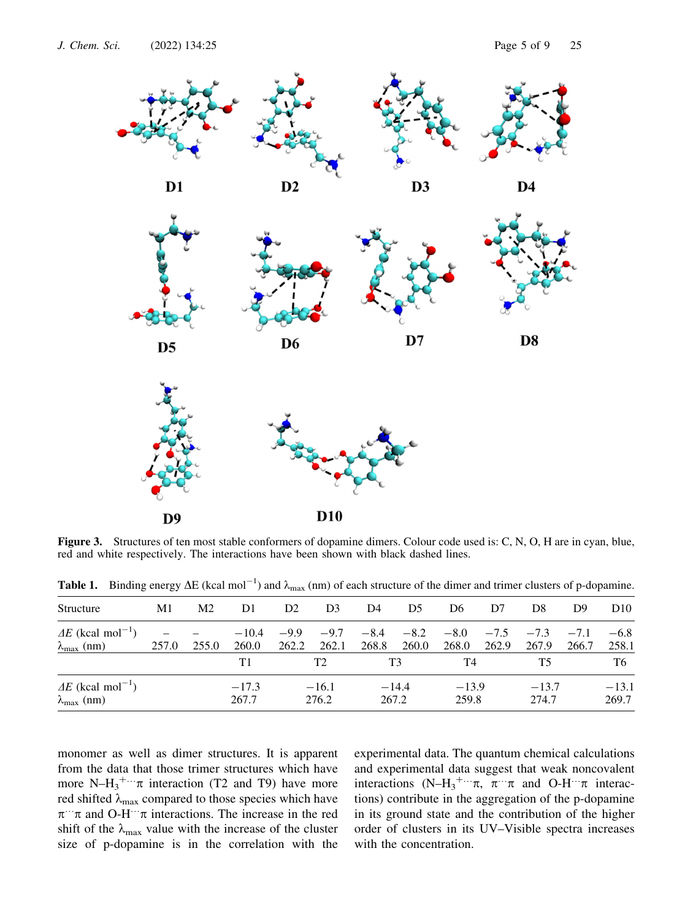

Figure 3. Structures of ten most stable conformers of dopamine dimers. Colour code used is: C, N, O, H are in cyan, blue, red and white respectively. The interactions have been shown with black dashed lines.

| Structure                                                           | M1    | M2.   | D1               | D2               | D <sub>3</sub>  | D4               | D5              | D6               | D7              | D8               | D9              | D <sub>10</sub>  |
|---------------------------------------------------------------------|-------|-------|------------------|------------------|-----------------|------------------|-----------------|------------------|-----------------|------------------|-----------------|------------------|
| $\Delta E$ (kcal mol <sup>-1</sup> )<br>$\lambda_{\max}$ (nm)       | 257.0 | 255.0 | $-10.4$<br>260.0 | $-9.9$<br>262.2  | $-9.7$<br>262.1 | $-8.4$<br>268.8  | $-8.2$<br>260.0 | $-8.0$<br>268.0  | $-7.5$<br>262.9 | $-7.3$<br>267.9  | $-7.1$<br>266.7 | $-6.8$<br>258.1  |
|                                                                     |       |       | T1               | T2               |                 | T3               |                 | T4               |                 | T5               |                 | T6               |
| $\Delta E$ (kcal mol <sup>-1</sup> )<br>$\lambda_{\text{max}}$ (nm) |       |       | $-17.3$<br>267.7 | $-16.1$<br>276.2 |                 | $-14.4$<br>267.2 |                 | $-13.9$<br>259.8 |                 | $-13.7$<br>274.7 |                 | $-13.1$<br>269.7 |

**Table 1.** Binding energy  $\Delta E$  (kcal mol<sup>-1</sup>) and  $\lambda_{\text{max}}$  (nm) of each structure of the dimer and trimer clusters of p-dopamine.

monomer as well as dimer structures. It is apparent from the data that those trimer structures which have more  $N-H_3^{\text{+}}$  interaction (T2 and T9) have more red shifted  $\lambda_{\text{max}}$  compared to those species which have  $\pi$ … $\pi$  and O-H… $\pi$  interactions. The increase in the red shift of the  $\lambda_{\text{max}}$  value with the increase of the cluster size of p-dopamine is in the correlation with the experimental data. The quantum chemical calculations and experimental data suggest that weak noncovalent interactions  $(N-H_3^{+\cdots}\pi, \pi^{+\cdots}\pi$  and  $O-H^{+\cdots}\pi$  interactions) contribute in the aggregation of the p-dopamine in its ground state and the contribution of the higher order of clusters in its UV–Visible spectra increases with the concentration.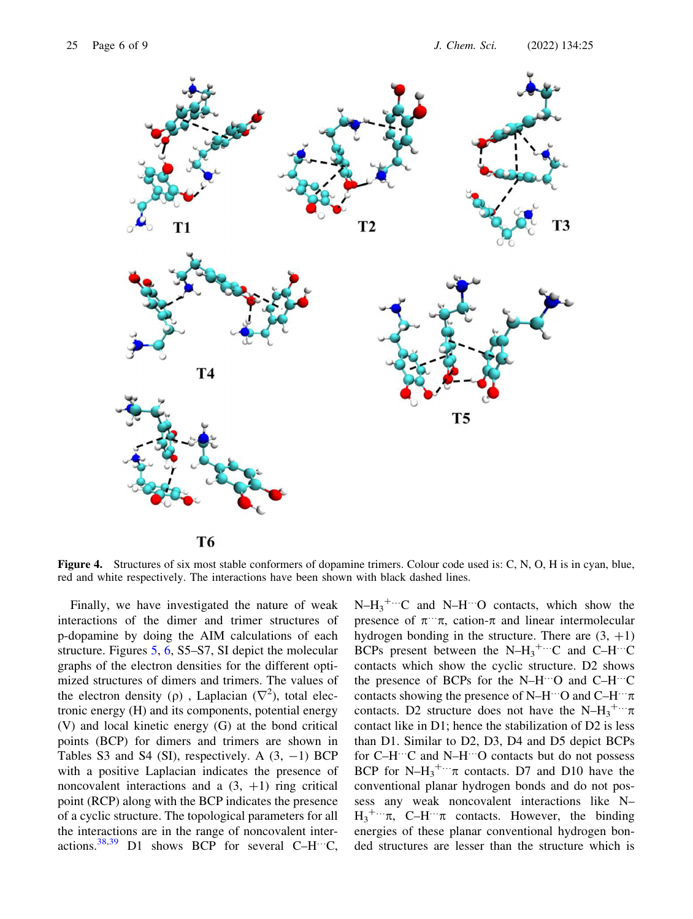

**T6** 

Figure 4. Structures of six most stable conformers of dopamine trimers. Colour code used is: C, N, O, H is in cyan, blue, red and white respectively. The interactions have been shown with black dashed lines.

Finally, we have investigated the nature of weak interactions of the dimer and trimer structures of p-dopamine by doing the AIM calculations of each structure. Figures 5, 6, S5–S7, SI depict the molecular graphs of the electron densities for the different optimized structures of dimers and trimers. The values of the electron density ( $\rho$ ), Laplacian ( $\nabla^2$ ), total electronic energy (H) and its components, potential energy (V) and local kinetic energy (G) at the bond critical points (BCP) for dimers and trimers are shown in Tables S3 and S4 (SI), respectively. A  $(3, -1)$  BCP with a positive Laplacian indicates the presence of noncovalent interactions and a  $(3, +1)$  ring critical point (RCP) along with the BCP indicates the presence of a cyclic structure. The topological parameters for all the interactions are in the range of noncovalent interactions.<sup>38,39</sup> D1 shows BCP for several C–H<sup> $\dots$ </sup>C,

 $N-H_3^{\text{+...}}C$  and  $N-H^{\text{...}}O$  contacts, which show the presence of  $\pi$ <sup>...</sup> $\pi$ , cation- $\pi$  and linear intermolecular hydrogen bonding in the structure. There are  $(3, +1)$ BCPs present between the N– $H_3^{\text{+}}$  C and C–H<sup>…</sup>C contacts which show the cyclic structure. D2 shows the presence of BCPs for the N–H…O and C–H…C contacts showing the presence of N–H…O and C–H… $\pi$ contacts. D2 structure does not have the N-H<sub>3</sub><sup>+...</sup> $\pi$ contact like in D1; hence the stabilization of D2 is less than D1. Similar to D2, D3, D4 and D5 depict BCPs for C–H…C and N–H…O contacts but do not possess BCP for N- $H_3^{\text{+}}$   $\pi$  contacts. D7 and D10 have the conventional planar hydrogen bonds and do not possess any weak noncovalent interactions like N–  $H_3^{\text{+...}}\pi$ , C–H<sup>…</sup> $\pi$  contacts. However, the binding energies of these planar conventional hydrogen bonded structures are lesser than the structure which is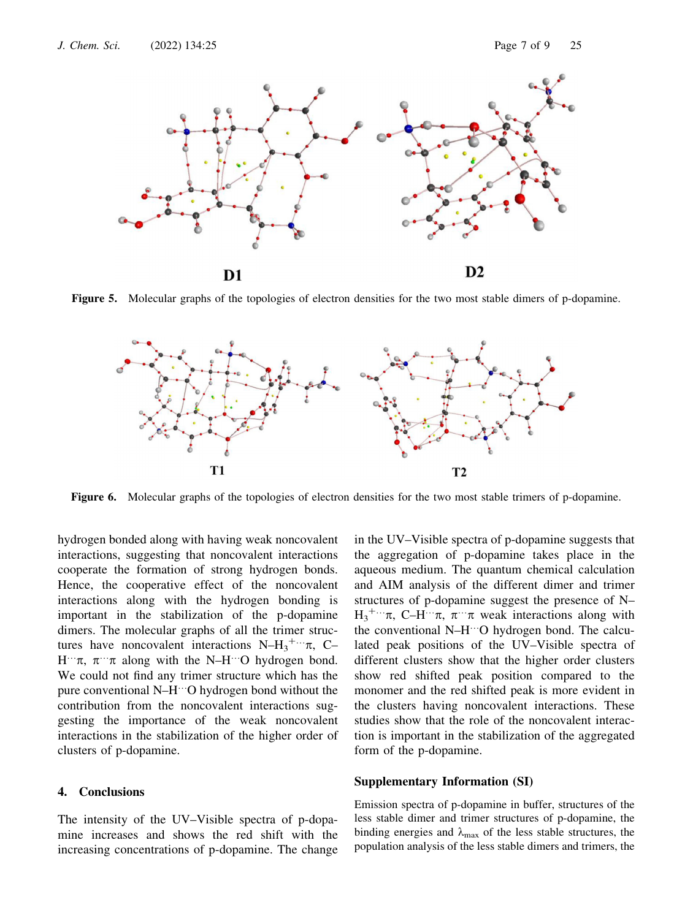

Figure 5. Molecular graphs of the topologies of electron densities for the two most stable dimers of p-dopamine.



Figure 6. Molecular graphs of the topologies of electron densities for the two most stable trimers of p-dopamine.

hydrogen bonded along with having weak noncovalent interactions, suggesting that noncovalent interactions cooperate the formation of strong hydrogen bonds. Hence, the cooperative effect of the noncovalent interactions along with the hydrogen bonding is important in the stabilization of the p-dopamine dimers. The molecular graphs of all the trimer structures have noncovalent interactions  $N-H_3^{\dots} \pi$ , C- $H^{\cdots}\pi$ ,  $\pi^{\cdots}\pi$  along with the N–H<sup> $\cdots$ </sup>O hydrogen bond. We could not find any trimer structure which has the pure conventional N–H…O hydrogen bond without the contribution from the noncovalent interactions suggesting the importance of the weak noncovalent interactions in the stabilization of the higher order of clusters of p-dopamine.

### 4. Conclusions

The intensity of the UV–Visible spectra of p-dopamine increases and shows the red shift with the increasing concentrations of p-dopamine. The change in the UV–Visible spectra of p-dopamine suggests that the aggregation of p-dopamine takes place in the aqueous medium. The quantum chemical calculation and AIM analysis of the different dimer and trimer structures of p-dopamine suggest the presence of N–  $H_3^{\text{+...}}\pi$ , C–H… $\pi$ ,  $\pi$ … $\pi$  weak interactions along with the conventional N–H…O hydrogen bond. The calculated peak positions of the UV–Visible spectra of different clusters show that the higher order clusters show red shifted peak position compared to the monomer and the red shifted peak is more evident in the clusters having noncovalent interactions. These studies show that the role of the noncovalent interaction is important in the stabilization of the aggregated form of the p-dopamine.

#### Supplementary Information (SI)

Emission spectra of p-dopamine in buffer, structures of the less stable dimer and trimer structures of p-dopamine, the binding energies and  $\lambda_{\text{max}}$  of the less stable structures, the population analysis of the less stable dimers and trimers, the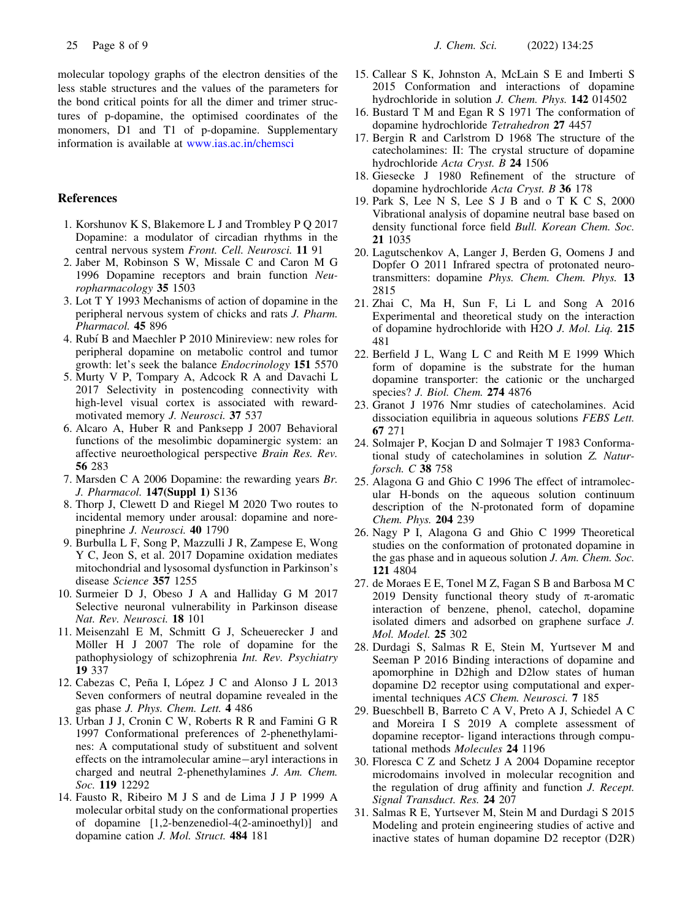molecular topology graphs of the electron densities of the less stable structures and the values of the parameters for the bond critical points for all the dimer and trimer structures of p-dopamine, the optimised coordinates of the monomers, D1 and T1 of p-dopamine. Supplementary information is available at www.ias.ac.in/chemsci

#### References

- 1. Korshunov K S, Blakemore L J and Trombley P Q 2017 Dopamine: a modulator of circadian rhythms in the central nervous system Front. Cell. Neurosci. 11 91
- 2. Jaber M, Robinson S W, Missale C and Caron M G 1996 Dopamine receptors and brain function Neuropharmacology 35 1503
- 3. Lot T Y 1993 Mechanisms of action of dopamine in the peripheral nervous system of chicks and rats J. Pharm. Pharmacol. 45 896
- 4. Rubí B and Maechler P 2010 Minireview: new roles for peripheral dopamine on metabolic control and tumor growth: let's seek the balance Endocrinology 151 5570
- 5. Murty V P, Tompary A, Adcock R A and Davachi L 2017 Selectivity in postencoding connectivity with high-level visual cortex is associated with rewardmotivated memory J. Neurosci. 37 537
- 6. Alcaro A, Huber R and Panksepp J 2007 Behavioral functions of the mesolimbic dopaminergic system: an affective neuroethological perspective Brain Res. Rev. 56 283
- 7. Marsden C A 2006 Dopamine: the rewarding years Br. J. Pharmacol. 147(Suppl 1) S136
- 8. Thorp J, Clewett D and Riegel M 2020 Two routes to incidental memory under arousal: dopamine and norepinephrine J. Neurosci. 40 1790
- 9. Burbulla L F, Song P, Mazzulli J R, Zampese E, Wong Y C, Jeon S, et al. 2017 Dopamine oxidation mediates mitochondrial and lysosomal dysfunction in Parkinson's disease Science 357 1255
- 10. Surmeier D J, Obeso J A and Halliday G M 2017 Selective neuronal vulnerability in Parkinson disease Nat. Rev. Neurosci. 18 101
- 11. Meisenzahl E M, Schmitt G J, Scheuerecker J and Möller H J 2007 The role of dopamine for the pathophysiology of schizophrenia Int. Rev. Psychiatry 19 337
- 12. Cabezas C, Peña I, López J C and Alonso J L 2013 Seven conformers of neutral dopamine revealed in the gas phase J. Phys. Chem. Lett. 4 486
- 13. Urban J J, Cronin C W, Roberts R R and Famini G R 1997 Conformational preferences of 2-phenethylamines: A computational study of substituent and solvent effects on the intramolecular amine-aryl interactions in charged and neutral 2-phenethylamines J. Am. Chem. Soc. 119 12292
- 14. Fausto R, Ribeiro M J S and de Lima J J P 1999 A molecular orbital study on the conformational properties of dopamine [1,2-benzenediol-4(2-aminoethyl)] and dopamine cation J. Mol. Struct. 484 181
- 15. Callear S K, Johnston A, McLain S E and Imberti S 2015 Conformation and interactions of dopamine hydrochloride in solution J. Chem. Phys. 142 014502
- 16. Bustard T M and Egan R S 1971 The conformation of dopamine hydrochloride Tetrahedron 27 4457
- 17. Bergin R and Carlstrom D 1968 The structure of the catecholamines: II: The crystal structure of dopamine hydrochloride Acta Cryst. B 24 1506
- 18. Giesecke J 1980 Refinement of the structure of dopamine hydrochloride Acta Cryst. B 36 178
- 19. Park S, Lee N S, Lee S J B and o T K C S, 2000 Vibrational analysis of dopamine neutral base based on density functional force field Bull. Korean Chem. Soc. 21 1035
- 20. Lagutschenkov A, Langer J, Berden G, Oomens J and Dopfer O 2011 Infrared spectra of protonated neurotransmitters: dopamine Phys. Chem. Chem. Phys. 13 2815
- 21. Zhai C, Ma H, Sun F, Li L and Song A 2016 Experimental and theoretical study on the interaction of dopamine hydrochloride with H2O J. Mol. Liq. 215 481
- 22. Berfield J L, Wang L C and Reith M E 1999 Which form of dopamine is the substrate for the human dopamine transporter: the cationic or the uncharged species? J. Biol. Chem. 274 4876
- 23. Granot J 1976 Nmr studies of catecholamines. Acid dissociation equilibria in aqueous solutions FEBS Lett. 67 271
- 24. Solmajer P, Kocjan D and Solmajer T 1983 Conformational study of catecholamines in solution Z. Naturforsch. C 38 758
- 25. Alagona G and Ghio C 1996 The effect of intramolecular H-bonds on the aqueous solution continuum description of the N-protonated form of dopamine Chem. Phys. 204 239
- 26. Nagy P I, Alagona G and Ghio C 1999 Theoretical studies on the conformation of protonated dopamine in the gas phase and in aqueous solution J. Am. Chem. Soc. 121 4804
- 27. de Moraes E E, Tonel M Z, Fagan S B and Barbosa M C 2019 Density functional theory study of  $\pi$ -aromatic interaction of benzene, phenol, catechol, dopamine isolated dimers and adsorbed on graphene surface J. Mol. Model. 25 302
- 28. Durdagi S, Salmas R E, Stein M, Yurtsever M and Seeman P 2016 Binding interactions of dopamine and apomorphine in D2high and D2low states of human dopamine D2 receptor using computational and experimental techniques ACS Chem. Neurosci. 7 185
- 29. Bueschbell B, Barreto C A V, Preto A J, Schiedel A C and Moreira I S 2019 A complete assessment of dopamine receptor- ligand interactions through computational methods Molecules 24 1196
- 30. Floresca C Z and Schetz J A 2004 Dopamine receptor microdomains involved in molecular recognition and the regulation of drug affinity and function J. Recept. Signal Transduct. Res. 24 207
- 31. Salmas R E, Yurtsever M, Stein M and Durdagi S 2015 Modeling and protein engineering studies of active and inactive states of human dopamine D2 receptor (D2R)